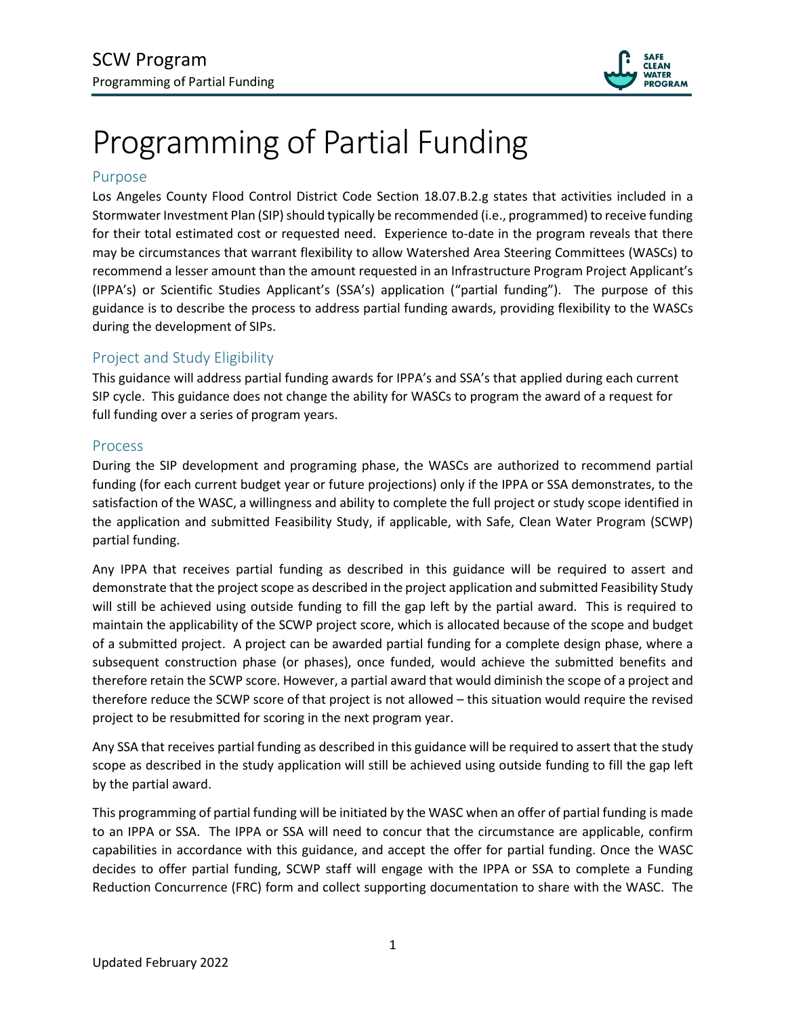

# Programming of Partial Funding

#### Purpose

Los Angeles County Flood Control District Code Section 18.07.B.2.g states that activities included in a Stormwater Investment Plan (SIP) should typically be recommended (i.e., programmed) to receive funding for their total estimated cost or requested need. Experience to-date in the program reveals that there may be circumstances that warrant flexibility to allow Watershed Area Steering Committees (WASCs) to recommend a lesser amount than the amount requested in an Infrastructure Program Project Applicant's (IPPA's) or Scientific Studies Applicant's (SSA's) application ("partial funding"). The purpose of this guidance is to describe the process to address partial funding awards, providing flexibility to the WASCs during the development of SIPs.

### Project and Study Eligibility

This guidance will address partial funding awards for IPPA's and SSA's that applied during each current SIP cycle. This guidance does not change the ability for WASCs to program the award of a request for full funding over a series of program years.

#### Process

During the SIP development and programing phase, the WASCs are authorized to recommend partial funding (for each current budget year or future projections) only if the IPPA or SSA demonstrates, to the satisfaction of the WASC, a willingness and ability to complete the full project or study scope identified in the application and submitted Feasibility Study, if applicable, with Safe, Clean Water Program (SCWP) partial funding.

Any IPPA that receives partial funding as described in this guidance will be required to assert and demonstrate that the project scope as described in the project application and submitted Feasibility Study will still be achieved using outside funding to fill the gap left by the partial award. This is required to maintain the applicability of the SCWP project score, which is allocated because of the scope and budget of a submitted project. A project can be awarded partial funding for a complete design phase, where a subsequent construction phase (or phases), once funded, would achieve the submitted benefits and therefore retain the SCWP score. However, a partial award that would diminish the scope of a project and therefore reduce the SCWP score of that project is not allowed – this situation would require the revised project to be resubmitted for scoring in the next program year.

Any SSA that receives partial funding as described in this guidance will be required to assert that the study scope as described in the study application will still be achieved using outside funding to fill the gap left by the partial award.

This programming of partial funding will be initiated by the WASC when an offer of partial funding is made to an IPPA or SSA. The IPPA or SSA will need to concur that the circumstance are applicable, confirm capabilities in accordance with this guidance, and accept the offer for partial funding. Once the WASC decides to offer partial funding, SCWP staff will engage with the IPPA or SSA to complete a Funding Reduction Concurrence (FRC) form and collect supporting documentation to share with the WASC. The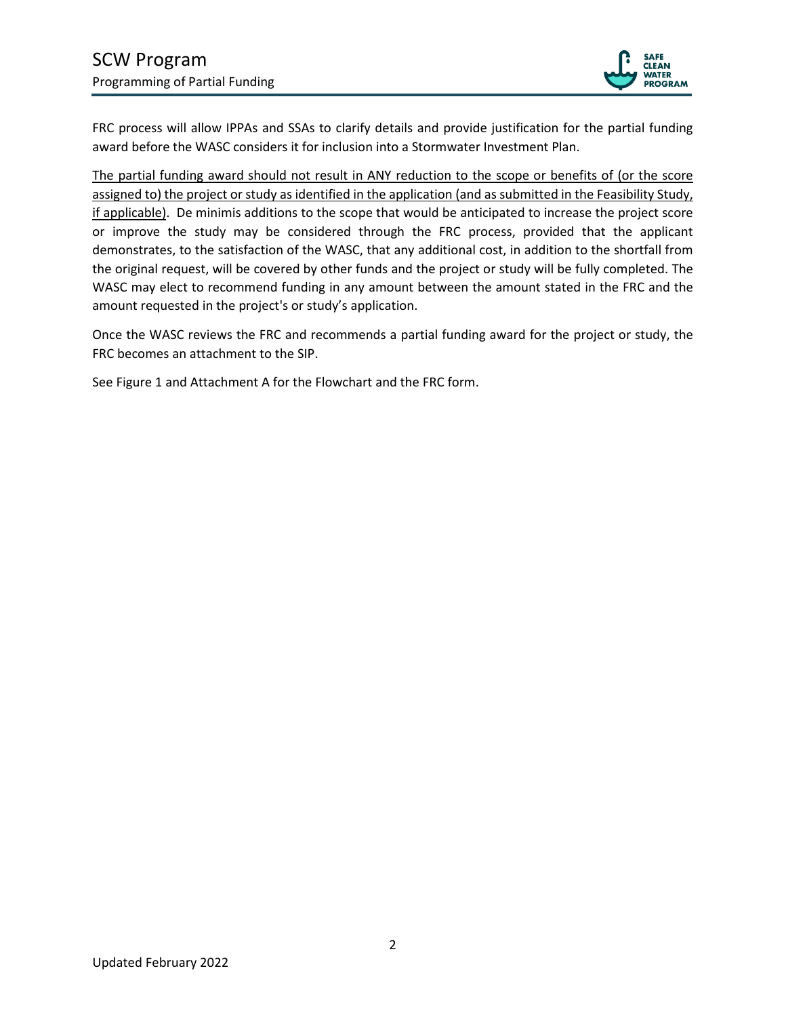

FRC process will allow IPPAs and SSAs to clarify details and provide justification for the partial funding award before the WASC considers it for inclusion into a Stormwater Investment Plan.

The partial funding award should not result in ANY reduction to the scope or benefits of (or the score assigned to) the project or study as identified in the application (and as submitted in the Feasibility Study, if applicable). De minimis additions to the scope that would be anticipated to increase the project score or improve the study may be considered through the FRC process, provided that the applicant demonstrates, to the satisfaction of the WASC, that any additional cost, in addition to the shortfall from the original request, will be covered by other funds and the project or study will be fully completed. The WASC may elect to recommend funding in any amount between the amount stated in the FRC and the amount requested in the project's or study's application.

Once the WASC reviews the FRC and recommends a partial funding award for the project or study, the FRC becomes an attachment to the SIP.

See Figure 1 and Attachment A for the Flowchart and the FRC form.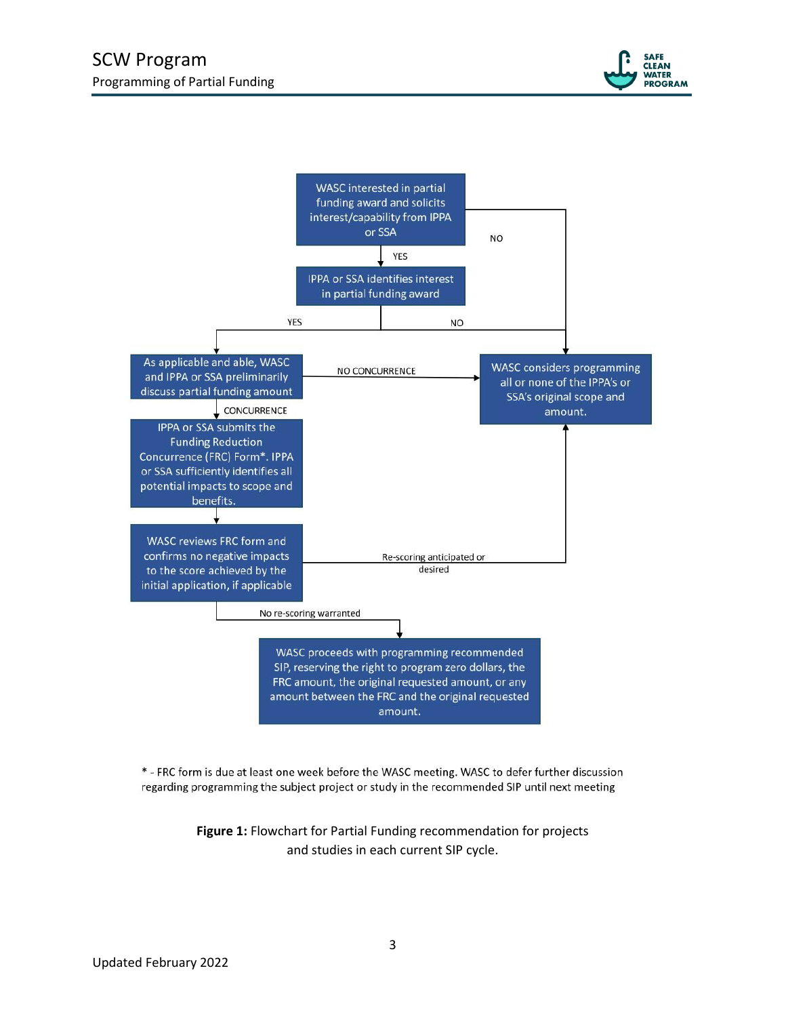



\* - FRC form is due at least one week before the WASC meeting. WASC to defer further discussion regarding programming the subject project or study in the recommended SIP until next meeting

> **Figure 1:** Flowchart for Partial Funding recommendation for projects and studies in each current SIP cycle.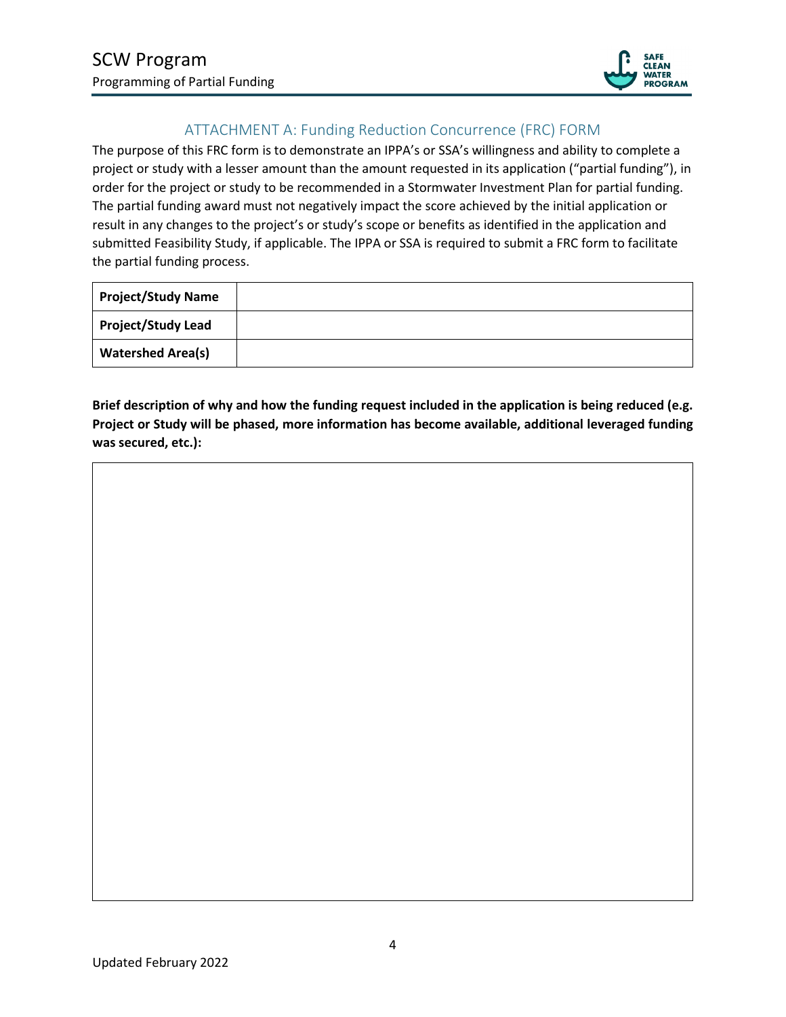

## ATTACHMENT A: Funding Reduction Concurrence (FRC) FORM

The purpose of this FRC form is to demonstrate an IPPA's or SSA's willingness and ability to complete a project or study with a lesser amount than the amount requested in its application ("partial funding"), in order for the project or study to be recommended in a Stormwater Investment Plan for partial funding. The partial funding award must not negatively impact the score achieved by the initial application or result in any changes to the project's or study's scope or benefits as identified in the application and submitted Feasibility Study, if applicable. The IPPA or SSA is required to submit a FRC form to facilitate the partial funding process.

| <b>Project/Study Name</b> |  |
|---------------------------|--|
| <b>Project/Study Lead</b> |  |
| <b>Watershed Area(s)</b>  |  |

**Brief description of why and how the funding request included in the application is being reduced (e.g. Project or Study will be phased, more information has become available, additional leveraged funding was secured, etc.):**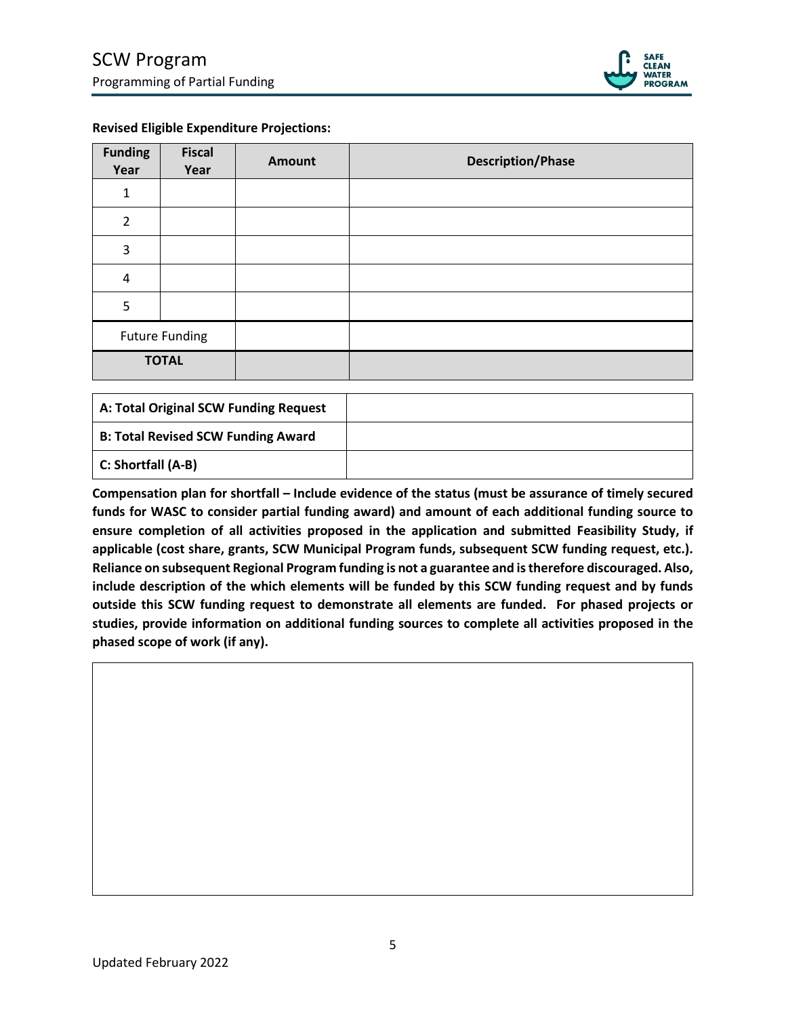

#### **Revised Eligible Expenditure Projections:**

| <b>Funding</b><br>Year | <b>Fiscal</b><br>Year | <b>Amount</b> | <b>Description/Phase</b> |
|------------------------|-----------------------|---------------|--------------------------|
| $\mathbf{1}$           |                       |               |                          |
| $\overline{2}$         |                       |               |                          |
| 3                      |                       |               |                          |
| $\pmb{4}$              |                       |               |                          |
| 5                      |                       |               |                          |
| <b>Future Funding</b>  |                       |               |                          |
| <b>TOTAL</b>           |                       |               |                          |

| A: Total Original SCW Funding Request     |  |
|-------------------------------------------|--|
| <b>B: Total Revised SCW Funding Award</b> |  |
| C: Shortfall (A-B)                        |  |

**Compensation plan for shortfall – Include evidence of the status (must be assurance of timely secured funds for WASC to consider partial funding award) and amount of each additional funding source to ensure completion of all activities proposed in the application and submitted Feasibility Study, if applicable (cost share, grants, SCW Municipal Program funds, subsequent SCW funding request, etc.). Reliance on subsequent Regional Program funding is not a guarantee and is therefore discouraged. Also, include description of the which elements will be funded by this SCW funding request and by funds outside this SCW funding request to demonstrate all elements are funded. For phased projects or studies, provide information on additional funding sources to complete all activities proposed in the phased scope of work (if any).**